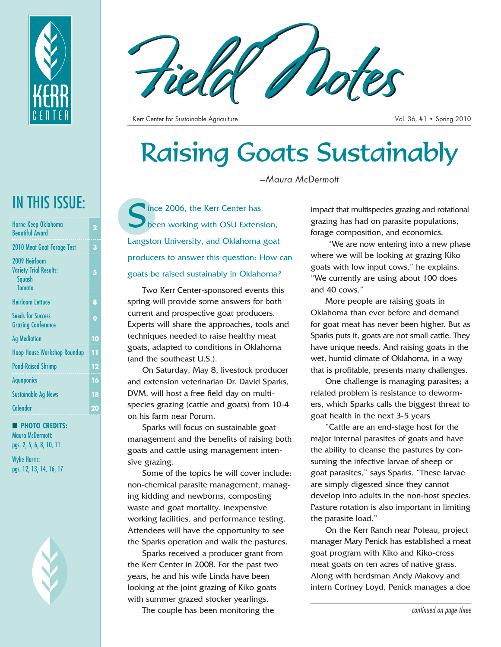

| 2  |
|----|
| 3  |
| 5  |
| 8  |
| 9  |
| 10 |
| 11 |
| 12 |
| 16 |
| 18 |
| 20 |
|    |

#### **PHOTO CREDITS:** Maura McDermott: pgs. 2, 5, 6, 8, 10, 11

Wylie Harris: pgs. 12, 13, 14, 16, 17





Kerr Center for Sustainable Agriculture Vol. 36, #1 • Spring 2010

# Raising Goats Sustainably

*—Maura McDermott*

IN THIS ISSUE:<br>Horne Keep Oklahoma<br>Beautiful Award been working with OSU Extension, Langston University, and Oklahoma goat producers to answer this question: How can goats be raised sustainably in Oklahoma?

> Two Kerr Center-sponsored events this spring will provide some answers for both current and prospective goat producers. Experts will share the approaches, tools and techniques needed to raise healthy meat goats, adapted to conditions in Oklahoma (and the southeast U.S.).

> On Saturday, May 8, livestock producer and extension veterinarian Dr. David Sparks, DVM, will host a free field day on multispecies grazing (cattle and goats) from 10-4 on his farm near Porum.

Sparks will focus on sustainable goat management and the benefits of raising both goats and cattle using management intensive grazing.

Some of the topics he will cover include: non-chemical parasite management, managing kidding and newborns, composting waste and goat mortality, inexpensive working facilities, and performance testing. Attendees will have the opportunity to see the Sparks operation and walk the pastures.

Sparks received a producer grant from the Kerr Center in 2008. For the past two years, he and his wife Linda have been looking at the joint grazing of Kiko goats with summer grazed stocker yearlings.

The couple has been monitoring the

impact that multispecies grazing and rotational grazing has had on parasite populations, forage composition, and economics.

"We are now entering into a new phase where we will be looking at grazing Kiko goats with low input cows," he explains. "We currently are using about 100 does and 40 cows."

More people are raising goats in Oklahoma than ever before and demand for goat meat has never been higher. But as Sparks puts it, goats are not small cattle. They have unique needs. And raising goats in the wet, humid climate of Oklahoma, in a way that is profitable, presents many challenges.

One challenge is managing parasites; a related problem is resistance to dewormers, which Sparks calls the biggest threat to goat health in the next 3-5 years

"Cattle are an end-stage host for the major internal parasites of goats and have the ability to cleanse the pastures by consuming the infective larvae of sheep or goat parasites," says Sparks. "These larvae are simply digested since they cannot develop into adults in the non-host species. Pasture rotation is also important in limiting the parasite load."

On the Kerr Ranch near Poteau, project manager Mary Penick has established a meat goat program with Kiko and Kiko-cross meat goats on ten acres of native grass. Along with herdsman Andy Makovy and intern Cortney Loyd, Penick manages a doe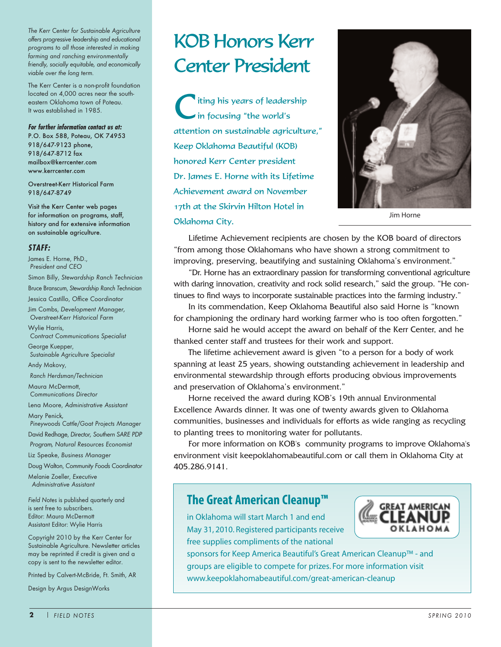*The Kerr Center for Sustainable Agriculture offers progressive leadership and educational programs to all those interested in making farming and ranching environmentally friendly, socially equitable, and economically viable over the long term.* 

The Kerr Center is a non-profit foundation located on 4,000 acres near the southeastern Oklahoma town of Poteau. It was established in 1985.

#### **For further information contact us at:**

P.O. Box 588, Poteau, OK 74953 918/647-9123 phone, 918/647-8712 fax mailbox@kerrcenter.com www.kerrcenter.com

Overstreet-Kerr Historical Farm 918/647-8749

Visit the Kerr Center web pages for information on programs, staff, history and for extensive information on sustainable agriculture.

#### **STAFF:**

James E. Horne, PhD., *President and CEO* Simon Billy, *Stewardship Ranch Technician* Bruce Branscum, *Stewardship Ranch Technician* Jessica Castillo, *Office Coordinator* Jim Combs, *Development Manager, Overstreet-Kerr Historical Farm* Wylie Harris, *Contract Communications Specialist* George Kuepper, *Sustainable Agriculture Specialist* Andy Makovy, *Ranch Herdsman/Technician* Maura McDermott, *Communications Director* Lena Moore, *Administrative Assistant* Mary Penick*, Pineywoods Cattle/Goat Projects Manager* David Redhage, *Director, Southern SARE PDP Program, Natural Resources Economist* Liz Speake, *Business Manager* Doug Walton, *Community Foods Coordinator* Melanie Zoeller, *Executive Administrative Assistant Field Notes* is published quarterly and is sent free to subscribers. Editor: Maura McDermott Assistant Editor: Wylie Harris Copyright 2010 by the Kerr Center for

Sustainable Agriculture. Newsletter articles may be reprinted if credit is given and a copy is sent to the newsletter editor.

Printed by Calvert-McBride, Ft. Smith, AR

Design by Argus DesignWorks

# KOB Honors Kerr Center President

iting his years of leadership in focusing "the world's attention on sustainable agriculture," Keep Oklahoma Beautiful (KOB) honored Kerr Center president Dr. James E. Horne with its Lifetime Achievement award on November 17th at the Skirvin Hilton Hotel in Oklahoma City.



Jim Horne

Lifetime Achievement recipients are chosen by the KOB board of directors "from among those Oklahomans who have shown a strong commitment to improving, preserving, beautifying and sustaining Oklahoma's environment."

"Dr. Horne has an extraordinary passion for transforming conventional agriculture with daring innovation, creativity and rock solid research," said the group. "He continues to find ways to incorporate sustainable practices into the farming industry."

In its commendation, Keep Oklahoma Beautiful also said Horne is "known for championing the ordinary hard working farmer who is too often forgotten."

Horne said he would accept the award on behalf of the Kerr Center, and he thanked center staff and trustees for their work and support.

The lifetime achievement award is given "to a person for a body of work spanning at least 25 years, showing outstanding achievement in leadership and environmental stewardship through efforts producing obvious improvements and preservation of Oklahoma's environment."

Horne received the award during KOB's 19th annual Environmental Excellence Awards dinner. It was one of twenty awards given to Oklahoma communities, businesses and individuals for efforts as wide ranging as recycling to planting trees to monitoring water for pollutants.

For more information on KOB's community programs to improve Oklahoma's environment visit keepoklahomabeautiful.com or call them in Oklahoma City at 405.286.9141.

## **The Great American Cleanup™**

in Oklahoma will start March 1 and end May 31, 2010. Registered participants receive free supplies compliments of the national



sponsors for Keep America Beautiful's Great American Cleanup™ - and groups are eligible to compete for prizes. For more information visit www.keepoklahomabeautiful.com/great-american-cleanup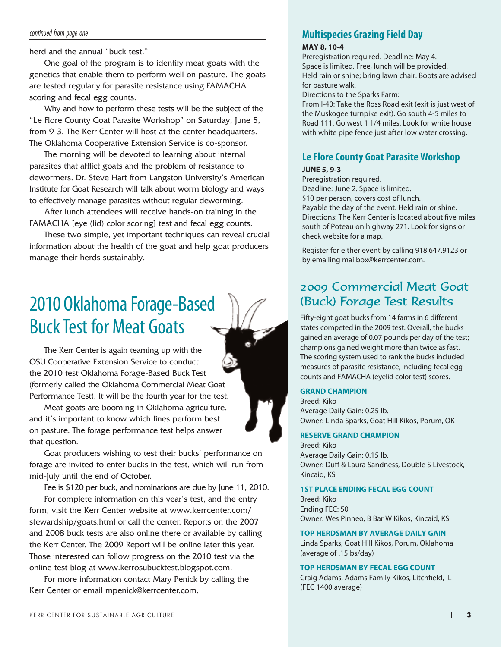#### continued from page one

herd and the annual "buck test."

One goal of the program is to identify meat goats with the genetics that enable them to perform well on pasture. The goats are tested regularly for parasite resistance using FAMACHA scoring and fecal egg counts.

Why and how to perform these tests will be the subject of the "Le Flore County Goat Parasite Workshop" on Saturday, June 5, from 9-3. The Kerr Center will host at the center headquarters. The Oklahoma Cooperative Extension Service is co-sponsor.

The morning will be devoted to learning about internal parasites that afflict goats and the problem of resistance to dewormers. Dr. Steve Hart from Langston University's American Institute for Goat Research will talk about worm biology and ways to effectively manage parasites without regular deworming.

After lunch attendees will receive hands-on training in the FAMACHA [eye (lid) color scoring] test and fecal egg counts.

These two simple, yet important techniques can reveal crucial information about the health of the goat and help goat producers manage their herds sustainably.

# 2010 Oklahoma Forage-Based Buck Test for Meat Goats

The Kerr Center is again teaming up with the OSU Cooperative Extension Service to conduct the 2010 test Oklahoma Forage-Based Buck Test (formerly called the Oklahoma Commercial Meat Goat Performance Test). It will be the fourth year for the test.

Meat goats are booming in Oklahoma agriculture, and it's important to know which lines perform best on pasture. The forage performance test helps answer that question.

Goat producers wishing to test their bucks' performance on forage are invited to enter bucks in the test, which will run from mid-July until the end of October.

Fee is \$120 per buck, and nominations are due by June 11, 2010. For complete information on this year's test, and the entry form, visit the Kerr Center website at www.kerrcenter.com/ stewardship/goats.html or call the center. Reports on the 2007 and 2008 buck tests are also online there or available by calling the Kerr Center. The 2009 Report will be online later this year. Those interested can follow progress on the 2010 test via the

online test blog at www.kerrosubucktest.blogspot.com. For more information contact Mary Penick by calling the Kerr Center or email mpenick@kerrcenter.com.

# **Multispecies Grazing Field Day**

#### **MAY 8, 10-4**

Preregistration required. Deadline: May 4. Space is limited. Free, lunch will be provided. Held rain or shine; bring lawn chair. Boots are advised for pasture walk.

Directions to the Sparks Farm:

From I-40: Take the Ross Road exit (exit is just west of the Muskogee turnpike exit). Go south 4-5 miles to Road 111. Go west 1 1/4 miles. Look for white house with white pipe fence just after low water crossing.

### **Le Flore County Goat Parasite Workshop**

#### **JUNE 5, 9-3**

Preregistration required. Deadline: June 2. Space is limited. \$10 per person, covers cost of lunch. Payable the day of the event. Held rain or shine. Directions: The Kerr Center is located about five miles south of Poteau on highway 271. Look for signs or check website for a map.

Register for either event by calling 918.647.9123 or by emailing mailbox@kerrcenter.com.

# 2009 Commercial Meat Goat (Buck) Forage Test Results

Fifty-eight goat bucks from 14 farms in 6 different states competed in the 2009 test. Overall, the bucks gained an average of 0.07 pounds per day of the test; champions gained weight more than twice as fast. The scoring system used to rank the bucks included measures of parasite resistance, including fecal egg counts and FAMACHA (eyelid color test) scores.

#### **GRAND CHAMPION**

Breed: Kiko Average Daily Gain: 0.25 lb. Owner: Linda Sparks, Goat Hill Kikos, Porum, OK

#### **RESERVE GRAND CHAMPION**

Breed: Kiko Average Daily Gain: 0.15 lb. Owner: Duff & Laura Sandness, Double S Livestock, Kincaid, KS

#### **1ST PLACE ENDING FECAL EGG COUNT**

Breed: Kiko Ending FEC: 50 Owner: Wes Pinneo, B Bar W Kikos, Kincaid, KS

#### **TOP HERDSMAN BY AVERAGE DAILY GAIN**

Linda Sparks, Goat Hill Kikos, Porum, Oklahoma (average of .15lbs/day)

#### **TOP HERDSMAN BY FECAL EGG COUNT**

Craig Adams, Adams Family Kikos, Litchfield, IL (FEC 1400 average)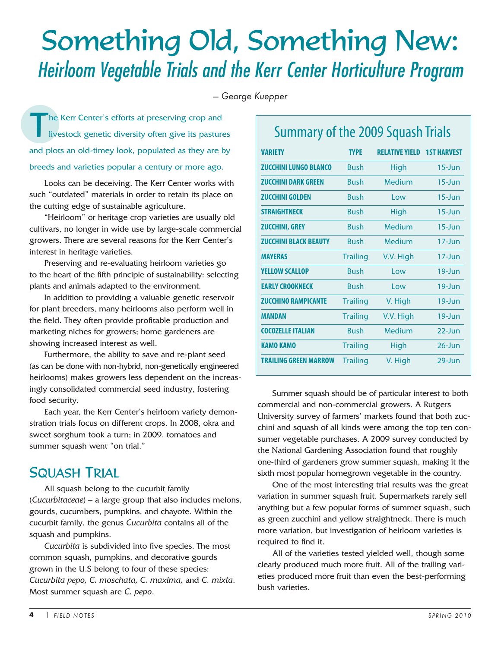# Something Old, Something New: Heirloom Vegetable Trials and the Kerr Center Horticulture Program

*— George Kuepper*

The Kerr Center's efforts at preserving crop and<br>livestock genetic diversity often give its pastur livestock genetic diversity often give its pastures and plots an old-timey look, populated as they are by breeds and varieties popular a century or more ago.

Looks can be deceiving. The Kerr Center works with such "outdated" materials in order to retain its place on the cutting edge of sustainable agriculture.

"Heirloom" or heritage crop varieties are usually old cultivars, no longer in wide use by large-scale commercial growers. There are several reasons for the Kerr Center's interest in heritage varieties.

Preserving and re-evaluating heirloom varieties go to the heart of the fifth principle of sustainability: selecting plants and animals adapted to the environment.

In addition to providing a valuable genetic reservoir for plant breeders, many heirlooms also perform well in the field. They often provide profitable production and marketing niches for growers; home gardeners are showing increased interest as well.

Furthermore, the ability to save and re-plant seed (as can be done with non-hybrid, non-genetically engineered heirlooms) makes growers less dependent on the increasingly consolidated commercial seed industry, fostering food security.

Each year, the Kerr Center's heirloom variety demonstration trials focus on different crops. In 2008, okra and sweet sorghum took a turn; in 2009, tomatoes and summer squash went "on trial."

# SQUASH TRIAL

All squash belong to the cucurbit family (*Cucurbitaceae*) – a large group that also includes melons, gourds, cucumbers, pumpkins, and chayote. Within the cucurbit family, the genus *Cucurbita* contains all of the squash and pumpkins.

*Cucurbita* is subdivided into five species. The most common squash, pumpkins, and decorative gourds grown in the U.S belong to four of these species: *Cucurbita pepo, C. moschata, C. maxima,* and *C. mixta*. Most summer squash are *C. pepo*.

# Summary of the 2009 Squash Trials

| <b>VARIETY</b>               | <b>TYPE</b>     | <b>RELATIVE YIELD</b> | <b>1ST HARVEST</b>   |
|------------------------------|-----------------|-----------------------|----------------------|
| <b>ZUCCHINI LUNGO BLANCO</b> | Bush            | <b>High</b>           | $15 - \lim$          |
| <b>ZUCCHINI DARK GREEN</b>   | Bush            | Medium                | $15 - \lim$          |
| <b>ZUCCHINI GOI DEN</b>      | <b>Rush</b>     | l ow                  | $15 - \lim$          |
| <b>STRAIGHTNECK</b>          | <b>Rush</b>     | High                  | $15 - \lim$          |
| <b>ZUCCHINI, GREY</b>        | <b>Bush</b>     | Medium                | $15 - \lim$          |
| <b>ZUCCHINI BLACK BEAUTY</b> | <b>Bush</b>     | Medium                | $17 - \text{Jun}$    |
| <b>MAYERAS</b>               | <b>Trailing</b> | V.V. High             | $17 - \mathrm{J}$ un |
| YFLLOW SCALLOP               | <b>Rush</b>     | l ow                  | $19 - \lim$          |
| <b>EARLY CROOKNECK</b>       | <b>Rush</b>     | l ow                  | $19 - \lim$          |
| <b>ZUCCHINO RAMPICANTE</b>   | <b>Trailing</b> | V. High               | $19 - \lim$          |
| <b>MANDAN</b>                | <b>Trailing</b> | V.V. High             | $19 - \lim$          |
| <b>COCOZELLE ITALIAN</b>     | <b>Bush</b>     | Medium                | $22$ -Jun            |
| <b>KAMO KAMO</b>             | <b>Trailing</b> | $26$ -Jun<br>High     |                      |
| TRAII ING GRFFN MARROW       | <b>Trailing</b> | V. High               | 29-Jun               |

Summer squash should be of particular interest to both commercial and non-commercial growers. A Rutgers University survey of farmers' markets found that both zucchini and squash of all kinds were among the top ten consumer vegetable purchases. A 2009 survey conducted by the National Gardening Association found that roughly one-third of gardeners grow summer squash, making it the sixth most popular homegrown vegetable in the country.

One of the most interesting trial results was the great variation in summer squash fruit. Supermarkets rarely sell anything but a few popular forms of summer squash, such as green zucchini and yellow straightneck. There is much more variation, but investigation of heirloom varieties is required to find it.

All of the varieties tested yielded well, though some clearly produced much more fruit. All of the trailing varieties produced more fruit than even the best-performing bush varieties.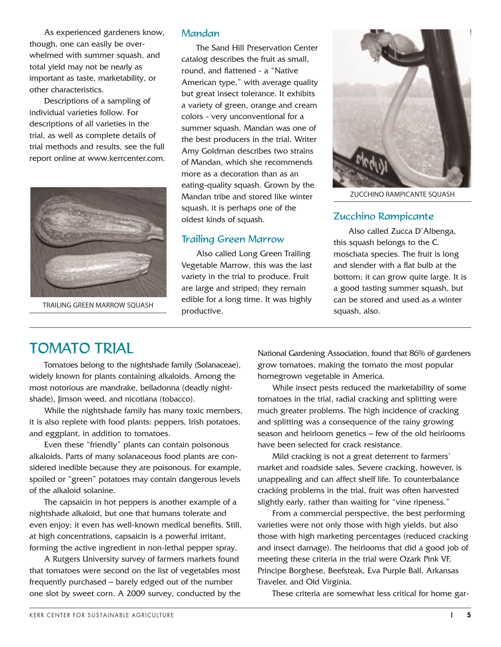As experienced gardeners know, though, one can easily be overwhelmed with summer squash, and total yield may not be nearly as important as taste, marketability, or other characteristics.

Descriptions of a sampling of individual varieties follow. For descriptions of all varieties in the trial, as well as complete details of trial methods and results, see the full report online at www.kerrcenter.com.



TRAILING GREEN MARROW SOUASH

#### Mandan

The Sand Hill Preservation Center catalog describes the fruit as small, round, and flattened - a "Native American type," with average quality but great insect tolerance. It exhibits a variety of green, orange and cream colors - very unconventional for a summer squash. Mandan was one of the best producers in the trial. Writer Amy Goldman describes two strains of Mandan, which she recommends more as a decoration than as an eating-quality squash. Grown by the Mandan tribe and stored like winter squash, it is perhaps one of the oldest kinds of squash.

### Trailing Green Marrow

Also called Long Green Trailing Vegetable Marrow, this was the last variety in the trial to produce. Fruit are large and striped; they remain edible for a long time. It was highly productive.



ZUCCHINO RAMPICANTE SQUASH

#### Zucchino Rampicante

Also called Zucca D'Albenga, this squash belongs to the C. moschata species. The fruit is long and slender with a flat bulb at the bottom; it can grow quite large. It is a good tasting summer squash, but can be stored and used as a winter squash, also.

# TOMATO TRIAL

Tomatoes belong to the nightshade family (Solanaceae), widely known for plants containing alkaloids. Among the most notorious are mandrake, belladonna (deadly nightshade), Jimson weed, and nicotiana (tobacco).

While the nightshade family has many toxic members, it is also replete with food plants: peppers, Irish potatoes, and eggplant, in addition to tomatoes.

Even these "friendly" plants can contain poisonous alkaloids. Parts of many solanaceous food plants are considered inedible because they are poisonous. For example, spoiled or "green" potatoes may contain dangerous levels of the alkaloid solanine.

The capsaicin in hot peppers is another example of a nightshade alkaloid, but one that humans tolerate and even enjoy; it even has well-known medical benefits. Still, at high concentrations, capsaicin is a powerful irritant, forming the active ingredient in non-lethal pepper spray.

A Rutgers University survey of farmers markets found that tomatoes were second on the list of vegetables most frequently purchased – barely edged out of the number one slot by sweet corn. A 2009 survey, conducted by the National Gardening Association, found that 86% of gardeners grow tomatoes, making the tomato the most popular homegrown vegetable in America.

While insect pests reduced the marketability of some tomatoes in the trial, radial cracking and splitting were much greater problems. The high incidence of cracking and splitting was a consequence of the rainy growing season and heirloom genetics – few of the old heirlooms have been selected for crack resistance.

Mild cracking is not a great deterrent to farmers' market and roadside sales. Severe cracking, however, is unappealing and can affect shelf life. To counterbalance cracking problems in the trial, fruit was often harvested slightly early, rather than waiting for "vine ripeness."

From a commercial perspective, the best performing varieties were not only those with high yields, but also those with high marketing percentages (reduced cracking and insect damage). The heirlooms that did a good job of meeting these criteria in the trial were Ozark Pink VF, Principe Borghese, Beefsteak, Eva Purple Ball, Arkansas Traveler, and Old Virginia.

These criteria are somewhat less critical for home gar-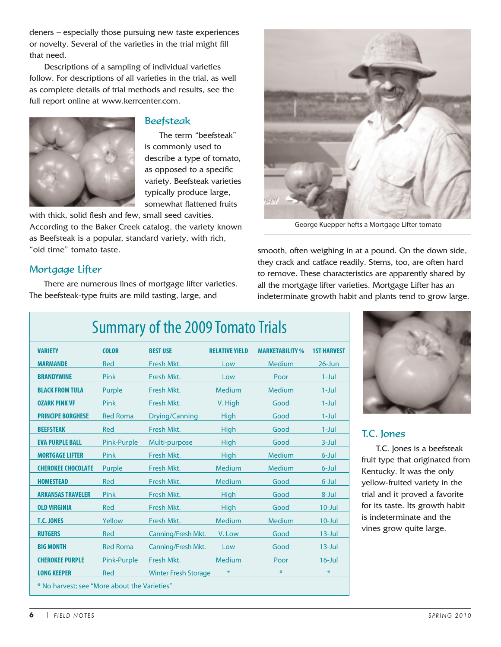deners – especially those pursuing new taste experiences or novelty. Several of the varieties in the trial might fill that need.

Descriptions of a sampling of individual varieties follow. For descriptions of all varieties in the trial, as well as complete details of trial methods and results, see the full report online at www.kerrcenter.com.



### **Beefsteak**

The term "beefsteak" is commonly used to describe a type of tomato, as opposed to a specific variety. Beefsteak varieties typically produce large, somewhat flattened fruits

with thick, solid flesh and few, small seed cavities. According to the Baker Creek catalog, the variety known as Beefsteak is a popular, standard variety, with rich, "old time" tomato taste.

### Mortgage Lifter

There are numerous lines of mortgage lifter varieties. The beefsteak-type fruits are mild tasting, large, and



George Kuepper hefts a Mortgage Lifter tomato

smooth, often weighing in at a pound. On the down side, they crack and catface readily. Stems, too, are often hard to remove. These characteristics are apparently shared by all the mortgage lifter varieties. Mortgage Lifter has an indeterminate growth habit and plants tend to grow large.

| <b>Summary of the 2009 Tomato Trials</b>     |                 |                             |                       |                        |                    |  |
|----------------------------------------------|-----------------|-----------------------------|-----------------------|------------------------|--------------------|--|
| <b>VARIETY</b>                               | <b>COLOR</b>    | <b>BEST USE</b>             | <b>RELATIVE YIELD</b> | <b>MARKETABILITY %</b> | <b>1ST HARVEST</b> |  |
| <b>MARMANDE</b>                              | Red             | Fresh Mkt.                  | Low                   | <b>Medium</b>          | $26$ -Jun          |  |
| <b>BRANDYWINE</b>                            | Pink            | Fresh Mkt.                  | Low                   | Poor                   | $1-Jul$            |  |
| <b>BLACK FROM TULA</b>                       | Purple          | Fresh Mkt.                  | <b>Medium</b>         | <b>Medium</b>          | $1-Jul$            |  |
| <b>OZARK PINK VF</b>                         | Pink            | Fresh Mkt.                  | V. High               | Good                   | $1-Jul$            |  |
| <b>PRINCIPE BORGHESE</b>                     | <b>Red Roma</b> | <b>Drying/Canning</b>       | High                  | Good                   | $1-Jul$            |  |
| <b>BEEFSTEAK</b>                             | Red             | Fresh Mkt.                  | High                  | Good                   | $1-Jul$            |  |
| <b>EVA PURPLE BALL</b>                       | Pink-Purple     | Multi-purpose               | High                  | Good                   | $3$ -Jul           |  |
| <b>MORTGAGE LIFTER</b>                       | Pink            | Fresh Mkt.                  | High                  | <b>Medium</b>          | $6$ -Jul           |  |
| <b>CHEROKEE CHOCOLATE</b>                    | Purple          | Fresh Mkt.                  | Medium                | Medium                 | $6$ -Jul           |  |
| <b>HOMESTEAD</b>                             | <b>Red</b>      | Fresh Mkt.                  | <b>Medium</b>         | Good                   | $6$ -Jul           |  |
| <b>ARKANSAS TRAVELER</b>                     | Pink            | Fresh Mkt.                  | High                  | Good                   | 8-Jul              |  |
| <b>OLD VIRGINIA</b>                          | <b>Red</b>      | Fresh Mkt.                  | High                  | Good                   | $10 -$ Jul         |  |
| <b>T.C. JONES</b>                            | Yellow          | Fresh Mkt.                  | Medium                | <b>Medium</b>          | $10 -$ Jul         |  |
| <b>RUTGERS</b>                               | Red             | Canning/Fresh Mkt.          | V. Low                | Good                   | $13$ -Jul          |  |
| <b>BIG MONTH</b>                             | <b>Red Roma</b> | Canning/Fresh Mkt.          | Low                   | Good                   | $13$ -Jul          |  |
| <b>CHEROKEE PURPLE</b>                       | Pink-Purple     | Fresh Mkt.                  | <b>Medium</b>         | Poor                   | $16$ -Jul          |  |
| <b>LONG KEEPER</b>                           | <b>Red</b>      | <b>Winter Fresh Storage</b> |                       | *                      | $\ast$             |  |
| * No harvest; see "More about the Varieties" |                 |                             |                       |                        |                    |  |



#### T.C. Jones

T.C. Jones is a beefsteak fruit type that originated from Kentucky. It was the only yellow-fruited variety in the trial and it proved a favorite for its taste. Its growth habit is indeterminate and the vines grow quite large.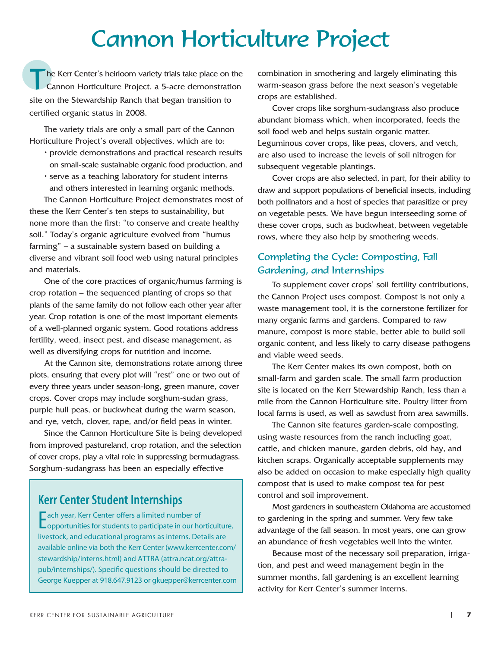# Cannon Horticulture Project

The Kerr Center's heirloom variety trials take place on the<br>Cannon Horticulture Project, a 5-acre demonstration site on the Stewardship Ranch that began transition to certified organic status in 2008.

The variety trials are only a small part of the Cannon Horticulture Project's overall objectives, which are to:

- provide demonstrations and practical research results on small-scale sustainable organic food production, and
- serve as a teaching laboratory for student interns and others interested in learning organic methods.

The Cannon Horticulture Project demonstrates most of these the Kerr Center's ten steps to sustainability, but none more than the first: "to conserve and create healthy soil." Today's organic agriculture evolved from "humus farming" – a sustainable system based on building a diverse and vibrant soil food web using natural principles and materials.

One of the core practices of organic/humus farming is crop rotation – the sequenced planting of crops so that plants of the same family do not follow each other year after year. Crop rotation is one of the most important elements of a well-planned organic system. Good rotations address fertility, weed, insect pest, and disease management, as well as diversifying crops for nutrition and income.

At the Cannon site, demonstrations rotate among three plots, ensuring that every plot will "rest" one or two out of every three years under season-long, green manure, cover crops. Cover crops may include sorghum-sudan grass, purple hull peas, or buckwheat during the warm season, and rye, vetch, clover, rape, and/or field peas in winter.

Since the Cannon Horticulture Site is being developed from improved pastureland, crop rotation, and the selection of cover crops, play a vital role in suppressing bermudagrass. Sorghum-sudangrass has been an especially effective

# **Kerr Center Student Internships**

Each year, Kerr Center offers a limited number of<br>
Copportunities for students to participate in our ho opportunities for students to participate in our horticulture, livestock, and educational programs as interns. Details are available online via both the Kerr Center (www.kerrcenter.com/ stewardship/interns.html) and ATTRA (attra.ncat.org/attrapub/internships/). Specific questions should be directed to George Kuepper at 918.647.9123 or gkuepper@kerrcenter.com combination in smothering and largely eliminating this warm-season grass before the next season's vegetable crops are established.

Cover crops like sorghum-sudangrass also produce abundant biomass which, when incorporated, feeds the soil food web and helps sustain organic matter. Leguminous cover crops, like peas, clovers, and vetch, are also used to increase the levels of soil nitrogen for subsequent vegetable plantings.

Cover crops are also selected, in part, for their ability to draw and support populations of beneficial insects, including both pollinators and a host of species that parasitize or prey on vegetable pests. We have begun interseeding some of these cover crops, such as buckwheat, between vegetable rows, where they also help by smothering weeds.

### Completing the Cycle: Composting, Fall Gardening, and Internships

To supplement cover crops' soil fertility contributions, the Cannon Project uses compost. Compost is not only a waste management tool, it is the cornerstone fertilizer for many organic farms and gardens. Compared to raw manure, compost is more stable, better able to build soil organic content, and less likely to carry disease pathogens and viable weed seeds.

The Kerr Center makes its own compost, both on small-farm and garden scale. The small farm production site is located on the Kerr Stewardship Ranch, less than a mile from the Cannon Horticulture site. Poultry litter from local farms is used, as well as sawdust from area sawmills.

The Cannon site features garden-scale composting, using waste resources from the ranch including goat, cattle, and chicken manure, garden debris, old hay, and kitchen scraps. Organically acceptable supplements may also be added on occasion to make especially high quality compost that is used to make compost tea for pest control and soil improvement.

Most gardeners in southeastern Oklahoma are accustomed to gardening in the spring and summer. Very few take advantage of the fall season. In most years, one can grow an abundance of fresh vegetables well into the winter.

Because most of the necessary soil preparation, irrigation, and pest and weed management begin in the summer months, fall gardening is an excellent learning activity for Kerr Center's summer interns.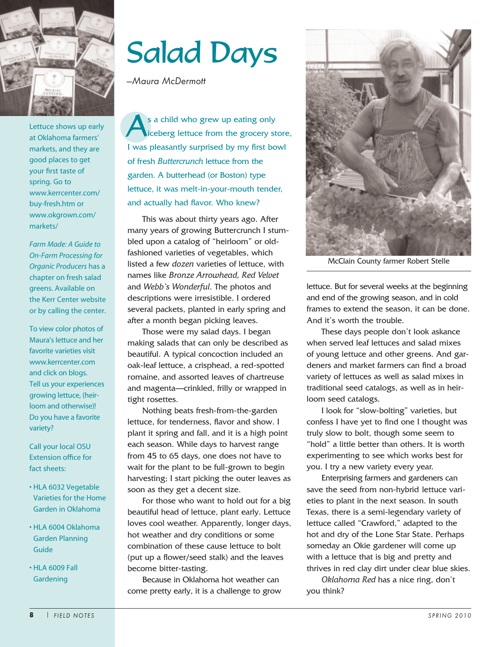

Lettuce shows up early at Oklahoma farmers' markets, and they are good places to get your first taste of spring. Go to www.kerrcenter.com/ buy-fresh.htm or www.okgrown.com/ markets/

*Farm Made: A Guide to On-Farm Processing for Organic Producers* has a chapter on fresh salad greens. Available on the Kerr Center website or by calling the center.

To view color photos of Maura's lettuce and her favorite varieties visit www.kerrcenter.com and click on blogs. Tell us your experiences growing lettuce, (heirloom and otherwise)! Do you have a favorite variety?

Call your local OSU Extension office for fact sheets:

- HLA 6032 Vegetable Varieties for the Home Garden in Oklahoma
- HLA 6004 Oklahoma Garden Planning Guide
- HLA 6009 Fall **Gardening**

# Salad Days

*—Maura McDermott*

s a child who grew up eating only<br>ceberg lettuce from the grocery s iceberg lettuce from the grocery store, I was pleasantly surprised by my first bowl of fresh *Buttercrunch* lettuce from the garden. A butterhead (or Boston) type lettuce, it was melt-in-your-mouth tender, and actually had flavor. Who knew?

This was about thirty years ago. After many years of growing Buttercrunch I stumbled upon a catalog of "heirloom" or oldfashioned varieties of vegetables, which listed a few *dozen* varieties of lettuce, with names like *Bronze Arrowhead, Red Velvet* and *Webb's Wonderful*. The photos and descriptions were irresistible. I ordered several packets, planted in early spring and after a month began picking leaves.

Those were my salad days. I began making salads that can only be described as beautiful. A typical concoction included an oak-leaf lettuce, a crisphead, a red-spotted romaine, and assorted leaves of chartreuse and magenta—crinkled, frilly or wrapped in tight rosettes.

Nothing beats fresh-from-the-garden lettuce, for tenderness, flavor and show. I plant it spring and fall, and it is a high point each season. While days to harvest range from 45 to 65 days, one does not have to wait for the plant to be full-grown to begin harvesting; I start picking the outer leaves as soon as they get a decent size.

For those who want to hold out for a big beautiful head of lettuce, plant early. Lettuce loves cool weather. Apparently, longer days, hot weather and dry conditions or some combination of these cause lettuce to bolt (put up a flower/seed stalk) and the leaves become bitter-tasting.

Because in Oklahoma hot weather can come pretty early, it is a challenge to grow



McClain County farmer Robert Stelle

lettuce. But for several weeks at the beginning and end of the growing season, and in cold frames to extend the season, it can be done. And it's worth the trouble.

These days people don't look askance when served leaf lettuces and salad mixes of young lettuce and other greens. And gardeners and market farmers can find a broad variety of lettuces as well as salad mixes in traditional seed catalogs, as well as in heirloom seed catalogs.

I look for "slow-bolting" varieties, but confess I have yet to find one I thought was truly slow to bolt, though some seem to "hold" a little better than others. It is worth experimenting to see which works best for you. I try a new variety every year.

Enterprising farmers and gardeners can save the seed from non-hybrid lettuce varieties to plant in the next season. In south Texas, there is a semi-legendary variety of lettuce called "Crawford," adapted to the hot and dry of the Lone Star State. Perhaps someday an Okie gardener will come up with a lettuce that is big and pretty and thrives in red clay dirt under clear blue skies.

*Oklahoma Red* has a nice ring, don't you think?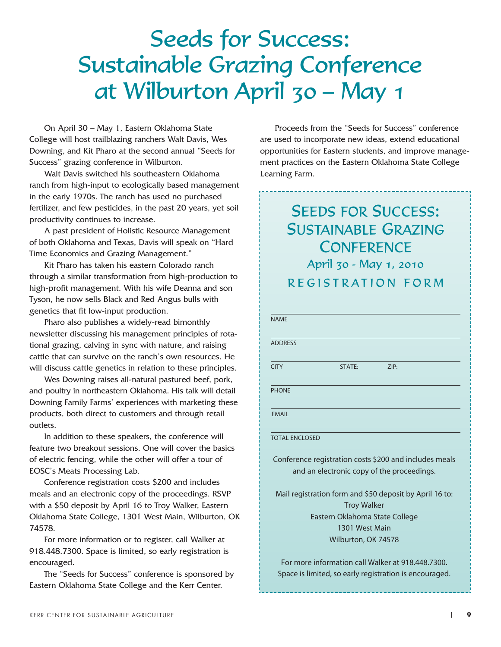On April 30 – May 1, Eastern Oklahoma State College will host trailblazing ranchers Walt Davis, Wes Downing, and Kit Pharo at the second annual "Seeds for Success" grazing conference in Wilburton.

Walt Davis switched his southeastern Oklahoma ranch from high-input to ecologically based management in the early 1970s. The ranch has used no purchased fertilizer, and few pesticides, in the past 20 years, yet soil productivity continues to increase.

A past president of Holistic Resource Management of both Oklahoma and Texas, Davis will speak on "Hard Time Economics and Grazing Management."

Kit Pharo has taken his eastern Colorado ranch through a similar transformation from high-production to high-profit management. With his wife Deanna and son Tyson, he now sells Black and Red Angus bulls with genetics that fit low-input production.

Pharo also publishes a widely-read bimonthly newsletter discussing his management principles of rotational grazing, calving in sync with nature, and raising cattle that can survive on the ranch's own resources. He will discuss cattle genetics in relation to these principles.

Wes Downing raises all-natural pastured beef, pork, and poultry in northeastern Oklahoma. His talk will detail Downing Family Farms' experiences with marketing these products, both direct to customers and through retail outlets.

In addition to these speakers, the conference will feature two breakout sessions. One will cover the basics of electric fencing, while the other will offer a tour of EOSC's Meats Processing Lab.

Conference registration costs \$200 and includes meals and an electronic copy of the proceedings. RSVP with a \$50 deposit by April 16 to Troy Walker, Eastern Oklahoma State College, 1301 West Main, Wilburton, OK 74578.

For more information or to register, call Walker at 918.448.7300. Space is limited, so early registration is encouraged.

The "Seeds for Success" conference is sponsored by Eastern Oklahoma State College and the Kerr Center.

Proceeds from the "Seeds for Success" conference are used to incorporate new ideas, extend educational opportunities for Eastern students, and improve management practices on the Eastern Oklahoma State College Learning Farm.

# SEEDS FOR SUCCESS: SUSTAINABLE GRAZING **CONFERENCE** April 30 - May 1, 2010 REGISTRATION FORM

| <b>NAMF</b>                                             |                     |                                                        |  |  |  |
|---------------------------------------------------------|---------------------|--------------------------------------------------------|--|--|--|
|                                                         |                     |                                                        |  |  |  |
| <b>ADDRESS</b>                                          |                     |                                                        |  |  |  |
|                                                         |                     |                                                        |  |  |  |
| <b>CITY</b>                                             | <b>STATE:</b>       | ZIP:                                                   |  |  |  |
|                                                         |                     |                                                        |  |  |  |
| <b>PHONE</b>                                            |                     |                                                        |  |  |  |
| <b>FMAIL</b>                                            |                     |                                                        |  |  |  |
|                                                         |                     |                                                        |  |  |  |
| <b>TOTAL ENCLOSED</b>                                   |                     |                                                        |  |  |  |
|                                                         |                     |                                                        |  |  |  |
|                                                         |                     | Conference registration costs \$200 and includes meals |  |  |  |
| and an electronic copy of the proceedings.              |                     |                                                        |  |  |  |
|                                                         |                     |                                                        |  |  |  |
| Mail registration form and \$50 deposit by April 16 to: |                     |                                                        |  |  |  |
| <b>Troy Walker</b>                                      |                     |                                                        |  |  |  |
| Eastern Oklahoma State College                          |                     |                                                        |  |  |  |
| 1301 West Main                                          |                     |                                                        |  |  |  |
|                                                         | Wilburton, OK 74578 |                                                        |  |  |  |
|                                                         |                     | For more information call Walker at 918.448.7300.      |  |  |  |
| Space is limited, so early registration is encouraged.  |                     |                                                        |  |  |  |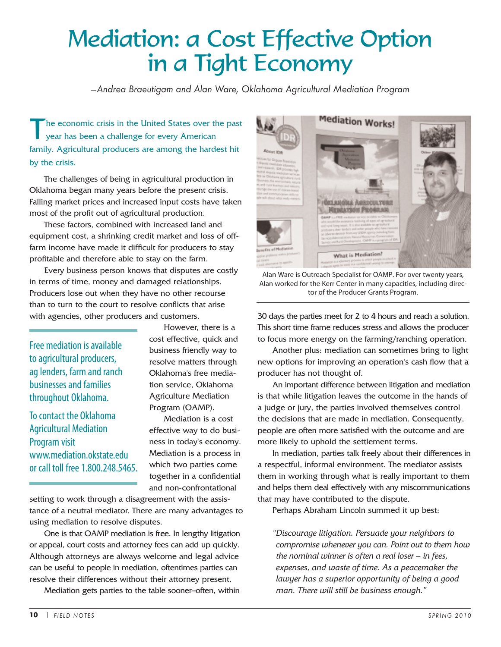# Mediation: a Cost Effective Option in a Tight Economy

*---Andrea Braeutigam and Alan Ware, Oklahoma Agricultural Mediation Program*

he economic crisis in the United States over the past year has been a challenge for every American family. Agricultural producers are among the hardest hit by the crisis.

The challenges of being in agricultural production in Oklahoma began many years before the present crisis. Falling market prices and increased input costs have taken most of the profit out of agricultural production.

These factors, combined with increased land and equipment cost, a shrinking credit market and loss of offfarm income have made it difficult for producers to stay profitable and therefore able to stay on the farm.

Every business person knows that disputes are costly in terms of time, money and damaged relationships. Producers lose out when they have no other recourse than to turn to the court to resolve conflicts that arise with agencies, other producers and customers.

Free mediation is available to agricultural producers, ag lenders, farm and ranch businesses and families throughout Oklahoma.

To contact the Oklahoma Agricultural Mediation Program visit www.mediation.okstate.edu or call toll free 1.800.248.5465.

However, there is a cost effective, quick and business friendly way to resolve matters through Oklahoma's free mediation service, Oklahoma Agriculture Mediation Program (OAMP).

Mediation is a cost effective way to do business in today's economy. Mediation is a process in which two parties come together in a confidential and non-confrontational

setting to work through a disagreement with the assistance of a neutral mediator. There are many advantages to using mediation to resolve disputes.

One is that OAMP mediation is free. In lengthy litigation or appeal, court costs and attorney fees can add up quickly. Although attorneys are always welcome and legal advice can be useful to people in mediation, oftentimes parties can resolve their differences without their attorney present.

Mediation gets parties to the table sooner–often, within



Alan Ware is Outreach Specialist for OAMP. For over twenty years, Alan worked for the Kerr Center in many capacities, including director of the Producer Grants Program.

30 days the parties meet for 2 to 4 hours and reach a solution. This short time frame reduces stress and allows the producer to focus more energy on the farming/ranching operation.

Another plus: mediation can sometimes bring to light new options for improving an operation's cash flow that a producer has not thought of.

An important difference between litigation and mediation is that while litigation leaves the outcome in the hands of a judge or jury, the parties involved themselves control the decisions that are made in mediation. Consequently, people are often more satisfied with the outcome and are more likely to uphold the settlement terms.

In mediation, parties talk freely about their differences in a respectful, informal environment. The mediator assists them in working through what is really important to them and helps them deal effectively with any miscommunications that may have contributed to the dispute.

Perhaps Abraham Lincoln summed it up best:

*"Discourage litigation. Persuade your neighbors to compromise whenever you can. Point out to them how the nominal winner is often a real loser — in fees, expenses, and waste of time. As a peacemaker the lawyer has a superior opportunity of being a good man. There will still be business enough."*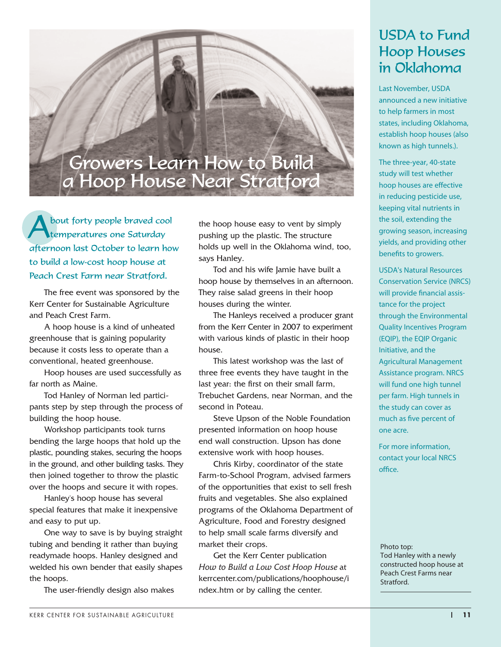# Growers Learn How to Build a Hoop House Near Stratford

About forty people braved cool temperatures one Saturday afternoon last October to learn how to build a low-cost hoop house at Peach Crest Farm near Stratford.

The free event was sponsored by the Kerr Center for Sustainable Agriculture and Peach Crest Farm.

A hoop house is a kind of unheated greenhouse that is gaining popularity because it costs less to operate than a conventional, heated greenhouse.

Hoop houses are used successfully as far north as Maine.

Tod Hanley of Norman led participants step by step through the process of building the hoop house.

Workshop participants took turns bending the large hoops that hold up the plastic, pounding stakes, securing the hoops in the ground, and other building tasks. They then joined together to throw the plastic over the hoops and secure it with ropes.

Hanley's hoop house has several special features that make it inexpensive and easy to put up.

One way to save is by buying straight tubing and bending it rather than buying readymade hoops. Hanley designed and welded his own bender that easily shapes the hoops.

The user-friendly design also makes

the hoop house easy to vent by simply pushing up the plastic. The structure holds up well in the Oklahoma wind, too, says Hanley.

Tod and his wife Jamie have built a hoop house by themselves in an afternoon. They raise salad greens in their hoop houses during the winter.

The Hanleys received a producer grant from the Kerr Center in 2007 to experiment with various kinds of plastic in their hoop house.

This latest workshop was the last of three free events they have taught in the last year: the first on their small farm, Trebuchet Gardens, near Norman, and the second in Poteau.

Steve Upson of the Noble Foundation presented information on hoop house end wall construction. Upson has done extensive work with hoop houses.

Chris Kirby, coordinator of the state Farm-to-School Program, advised farmers of the opportunities that exist to sell fresh fruits and vegetables. She also explained programs of the Oklahoma Department of Agriculture, Food and Forestry designed to help small scale farms diversify and market their crops.

Get the Kerr Center publication *How to Build a Low Cost Hoop House* at kerrcenter.com/publications/hoophouse/i ndex.htm or by calling the center.

# USDA to Fund Hoop Houses in Oklahoma

Last November, USDA announced a new initiative to help farmers in most states, including Oklahoma, establish hoop houses (also known as high tunnels.).

The three-year, 40-state study will test whether hoop houses are effective in reducing pesticide use, keeping vital nutrients in the soil, extending the growing season, increasing yields, and providing other benefits to growers.

USDA's Natural Resources Conservation Service (NRCS) will provide financial assistance for the project through the Environmental Quality Incentives Program (EQIP), the EQIP Organic Initiative, and the Agricultural Management Assistance program. NRCS will fund one high tunnel per farm. High tunnels in the study can cover as much as five percent of one acre.

For more information, contact your local NRCS office.

Photo top: Tod Hanley with a newly constructed hoop house at Peach Crest Farms near Stratford.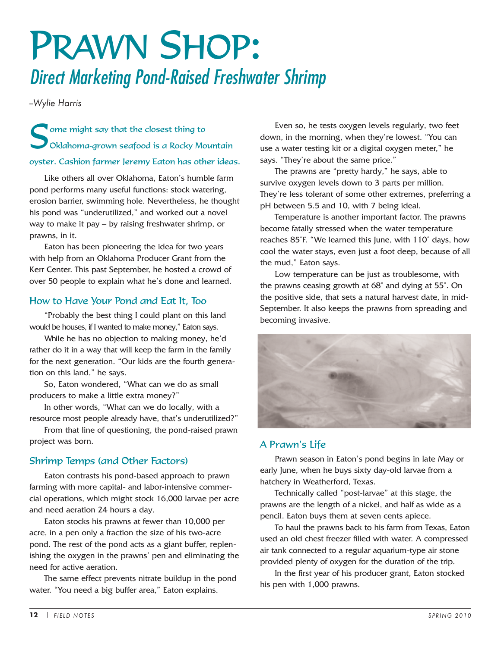# PRAWN SHOP: Direct Marketing Pond-Raised Freshwater Shrimp

*--Wylie Harris*

Some might say that the closest thing to<br>Oklahoma-grown seafood is a Rocky Mountain oyster. Cashion farmer Jeremy Eaton has other ideas.

Like others all over Oklahoma, Eaton's humble farm pond performs many useful functions: stock watering, erosion barrier, swimming hole. Nevertheless, he thought his pond was "underutilized," and worked out a novel way to make it pay – by raising freshwater shrimp, or prawns, in it.

Eaton has been pioneering the idea for two years with help from an Oklahoma Producer Grant from the Kerr Center. This past September, he hosted a crowd of over 50 people to explain what he's done and learned.

### How to Have Your Pond and Eat It, Too

"Probably the best thing I could plant on this land would be houses, if I wanted to make money," Eaton says.

While he has no objection to making money, he'd rather do it in a way that will keep the farm in the family for the next generation. "Our kids are the fourth generation on this land," he says.

So, Eaton wondered, "What can we do as small producers to make a little extra money?"

In other words, "What can we do locally, with a resource most people already have, that's underutilized?"

From that line of questioning, the pond-raised prawn project was born.

### Shrimp Temps (and Other Factors)

Eaton contrasts his pond-based approach to prawn farming with more capital- and labor-intensive commercial operations, which might stock 16,000 larvae per acre and need aeration 24 hours a day.

Eaton stocks his prawns at fewer than 10,000 per acre, in a pen only a fraction the size of his two-acre pond. The rest of the pond acts as a giant buffer, replenishing the oxygen in the prawns' pen and eliminating the need for active aeration.

The same effect prevents nitrate buildup in the pond water. "You need a big buffer area," Eaton explains.

Even so, he tests oxygen levels regularly, two feet down, in the morning, when they're lowest. "You can use a water testing kit or a digital oxygen meter," he says. "They're about the same price."

The prawns are "pretty hardy," he says, able to survive oxygen levels down to 3 parts per million. They're less tolerant of some other extremes, preferring a pH between 5.5 and 10, with 7 being ideal.

Temperature is another important factor. The prawns become fatally stressed when the water temperature reaches 85˚F. "We learned this June, with 110˚ days, how cool the water stays, even just a foot deep, because of all the mud," Eaton says.

Low temperature can be just as troublesome, with the prawns ceasing growth at 68˚ and dying at 55˚. On the positive side, that sets a natural harvest date, in mid-September. It also keeps the prawns from spreading and becoming invasive.



### A Prawn's Life

Prawn season in Eaton's pond begins in late May or early June, when he buys sixty day-old larvae from a hatchery in Weatherford, Texas.

Technically called "post-larvae" at this stage, the prawns are the length of a nickel, and half as wide as a pencil. Eaton buys them at seven cents apiece.

To haul the prawns back to his farm from Texas, Eaton used an old chest freezer filled with water. A compressed air tank connected to a regular aquarium-type air stone provided plenty of oxygen for the duration of the trip.

In the first year of his producer grant, Eaton stocked his pen with 1,000 prawns.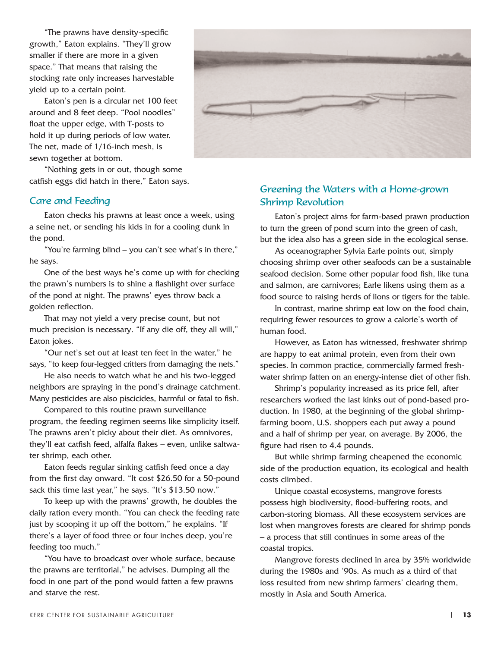"The prawns have density-specific growth," Eaton explains. "They'll grow smaller if there are more in a given space." That means that raising the stocking rate only increases harvestable yield up to a certain point.

Eaton's pen is a circular net 100 feet around and 8 feet deep. "Pool noodles" float the upper edge, with T-posts to hold it up during periods of low water. The net, made of 1/16-inch mesh, is sewn together at bottom.

"Nothing gets in or out, though some catfish eggs did hatch in there," Eaton says.

#### Care and Feeding

Eaton checks his prawns at least once a week, using a seine net, or sending his kids in for a cooling dunk in the pond.

"You're farming blind – you can't see what's in there," he says.

One of the best ways he's come up with for checking the prawn's numbers is to shine a flashlight over surface of the pond at night. The prawns' eyes throw back a golden reflection.

That may not yield a very precise count, but not much precision is necessary. "If any die off, they all will," Eaton jokes.

"Our net's set out at least ten feet in the water," he says, "to keep four-legged critters from damaging the nets."

He also needs to watch what he and his two-legged neighbors are spraying in the pond's drainage catchment. Many pesticides are also piscicides, harmful or fatal to fish.

Compared to this routine prawn surveillance program, the feeding regimen seems like simplicity itself. The prawns aren't picky about their diet. As omnivores, they'll eat catfish feed, alfalfa flakes – even, unlike saltwater shrimp, each other.

Eaton feeds regular sinking catfish feed once a day from the first day onward. "It cost \$26.50 for a 50-pound sack this time last year," he says. "It's \$13.50 now."

To keep up with the prawns' growth, he doubles the daily ration every month. "You can check the feeding rate just by scooping it up off the bottom," he explains. "If there's a layer of food three or four inches deep, you're feeding too much."

"You have to broadcast over whole surface, because the prawns are territorial," he advises. Dumping all the food in one part of the pond would fatten a few prawns and starve the rest.



### Greening the Waters with a Home-grown Shrimp Revolution

Eaton's project aims for farm-based prawn production to turn the green of pond scum into the green of cash, but the idea also has a green side in the ecological sense.

As oceanographer Sylvia Earle points out, simply choosing shrimp over other seafoods can be a sustainable seafood decision. Some other popular food fish, like tuna and salmon, are carnivores; Earle likens using them as a food source to raising herds of lions or tigers for the table.

In contrast, marine shrimp eat low on the food chain, requiring fewer resources to grow a calorie's worth of human food.

However, as Eaton has witnessed, freshwater shrimp are happy to eat animal protein, even from their own species. In common practice, commercially farmed freshwater shrimp fatten on an energy-intense diet of other fish.

Shrimp's popularity increased as its price fell, after researchers worked the last kinks out of pond-based production. In 1980, at the beginning of the global shrimpfarming boom, U.S. shoppers each put away a pound and a half of shrimp per year, on average. By 2006, the figure had risen to 4.4 pounds.

But while shrimp farming cheapened the economic side of the production equation, its ecological and health costs climbed.

Unique coastal ecosystems, mangrove forests possess high biodiversity, flood-buffering roots, and carbon-storing biomass. All these ecosystem services are lost when mangroves forests are cleared for shrimp ponds – a process that still continues in some areas of the coastal tropics.

Mangrove forests declined in area by 35% worldwide during the 1980s and '90s. As much as a third of that loss resulted from new shrimp farmers' clearing them, mostly in Asia and South America.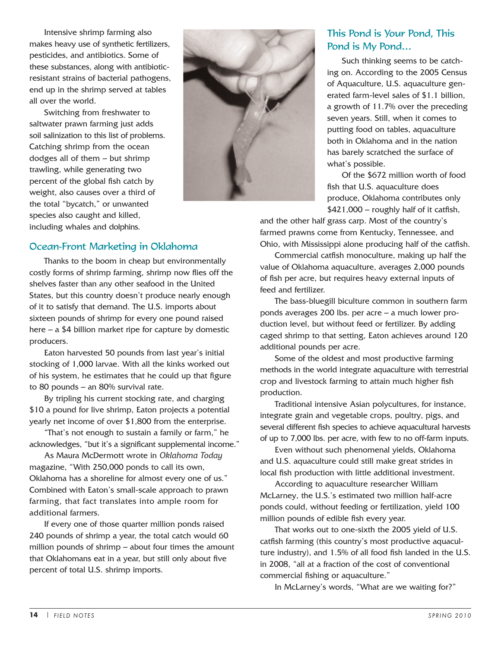Intensive shrimp farming also makes heavy use of synthetic fertilizers, pesticides, and antibiotics. Some of these substances, along with antibioticresistant strains of bacterial pathogens, end up in the shrimp served at tables all over the world.

Switching from freshwater to saltwater prawn farming just adds soil salinization to this list of problems. Catching shrimp from the ocean dodges all of them – but shrimp trawling, while generating two percent of the global fish catch by weight, also causes over a third of the total "bycatch," or unwanted species also caught and killed, including whales and dolphins.



#### Ocean-Front Marketing in Oklahoma

Thanks to the boom in cheap but environmentally costly forms of shrimp farming, shrimp now flies off the shelves faster than any other seafood in the United States, but this country doesn't produce nearly enough of it to satisfy that demand. The U.S. imports about sixteen pounds of shrimp for every one pound raised here – a \$4 billion market ripe for capture by domestic producers.

Eaton harvested 50 pounds from last year's initial stocking of 1,000 larvae. With all the kinks worked out of his system, he estimates that he could up that figure to 80 pounds – an 80% survival rate.

By tripling his current stocking rate, and charging \$10 a pound for live shrimp, Eaton projects a potential yearly net income of over \$1,800 from the enterprise.

"That's not enough to sustain a family or farm," he acknowledges, "but it's a significant supplemental income."

As Maura McDermott wrote in *Oklahoma Today* magazine, "With 250,000 ponds to call its own, Oklahoma has a shoreline for almost every one of us." Combined with Eaton's small-scale approach to prawn farming, that fact translates into ample room for additional farmers.

If every one of those quarter million ponds raised 240 pounds of shrimp a year, the total catch would 60 million pounds of shrimp – about four times the amount that Oklahomans eat in a year, but still only about five percent of total U.S. shrimp imports.

### This Pond is Your Pond, This Pond is My Pond…

Such thinking seems to be catching on. According to the 2005 Census of Aquaculture, U.S. aquaculture generated farm-level sales of \$1.1 billion, a growth of 11.7% over the preceding seven years. Still, when it comes to putting food on tables, aquaculture both in Oklahoma and in the nation has barely scratched the surface of what's possible.

Of the \$672 million worth of food fish that U.S. aquaculture does produce, Oklahoma contributes only  $$421,000 - roughly$  half of it catfish,

and the other half grass carp. Most of the country's farmed prawns come from Kentucky, Tennessee, and Ohio, with Mississippi alone producing half of the catfish.

Commercial catfish monoculture, making up half the value of Oklahoma aquaculture, averages 2,000 pounds of fish per acre, but requires heavy external inputs of feed and fertilizer.

The bass-bluegill biculture common in southern farm ponds averages 200 lbs. per acre – a much lower production level, but without feed or fertilizer. By adding caged shrimp to that setting, Eaton achieves around 120 additional pounds per acre.

Some of the oldest and most productive farming methods in the world integrate aquaculture with terrestrial crop and livestock farming to attain much higher fish production.

Traditional intensive Asian polycultures, for instance, integrate grain and vegetable crops, poultry, pigs, and several different fish species to achieve aquacultural harvests of up to 7,000 lbs. per acre, with few to no off-farm inputs.

Even without such phenomenal yields, Oklahoma and U.S. aquaculture could still make great strides in local fish production with little additional investment.

According to aquaculture researcher William McLarney, the U.S.'s estimated two million half-acre ponds could, without feeding or fertilization, yield 100 million pounds of edible fish every year.

That works out to one-sixth the 2005 yield of U.S. catfish farming (this country's most productive aquaculture industry), and 1.5% of all food fish landed in the U.S. in 2008, "all at a fraction of the cost of conventional commercial fishing or aquaculture."

In McLarney's words, "What are we waiting for?"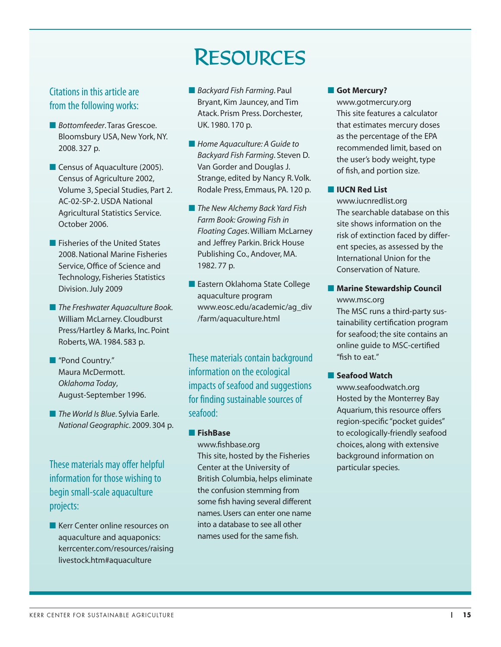# Citations in this article are from the following works:

- *Bottomfeeder*. Taras Grescoe. Bloomsbury USA, New York, NY. 2008. 327 p.
- Census of Aquaculture (2005). Census of Agriculture 2002, Volume 3, Special Studies, Part 2. AC-02-SP-2. USDA National Agricultural Statistics Service. October 2006.
- Fisheries of the United States 2008. National Marine Fisheries Service, Office of Science and Technology, Fisheries Statistics Division. July 2009
- *The Freshwater Aquaculture Book.* William McLarney. Cloudburst Press/Hartley & Marks, Inc. Point Roberts,WA. 1984. 583 p.
- "Pond Country." Maura McDermott. *Oklahoma Today*, August-September 1996.
- *The World Is Blue*. Sylvia Earle. *National Geographic*. 2009. 304 p.

These materials may offer helpful information for those wishing to begin small-scale aquaculture projects:

■ Kerr Center online resources on aquaculture and aquaponics: kerrcenter.com/resources/raising livestock.htm#aquaculture

### ■ *Backyard Fish Farming*. Paul Bryant, Kim Jauncey, and Tim Atack. Prism Press. Dorchester, UK. 1980. 170 p.

RESOURCES

- Home Aquaculture: A Guide to *Backyard Fish Farming*. Steven D. Van Gorder and Douglas J. Strange, edited by Nancy R. Volk. Rodale Press, Emmaus, PA. 120 p.
- *The New Alchemy Back Yard Fish Farm Book: Growing Fish in Floating Cages*. William McLarney and Jeffrey Parkin. Brick House Publishing Co., Andover, MA. 1982. 77 p.
- Eastern Oklahoma State College aquaculture program www.eosc.edu/academic/ag\_div /farm/aquaculture.html

These materials contain background information on the ecological impacts of seafood and suggestions for finding sustainable sources of seafood:

#### ■ **FishBase**

www.fishbase.org This site, hosted by the Fisheries Center at the University of British Columbia, helps eliminate the confusion stemming from some fish having several different names.Users can enter one name into a database to see all other names used for the same fish.

#### ■ **Got Mercury?**

www.gotmercury.org This site features a calculator that estimates mercury doses as the percentage of the EPA recommended limit, based on the user's body weight, type of fish, and portion size.

#### ■ **IUCN Red List**

www.iucnredlist.org The searchable database on this site shows information on the risk of extinction faced by different species, as assessed by the International Union for the Conservation of Nature.

#### ■ Marine Stewardship Council www.msc.org

The MSC runs a third-party sustainability certification program for seafood; the site contains an online guide to MSC-certified "fish to eat."

#### ■ **Seafood Watch**

www.seafoodwatch.org Hosted by the Monterrey Bay Aquarium, this resource offers region-specific "pocket guides" to ecologically-friendly seafood choices, along with extensive background information on particular species.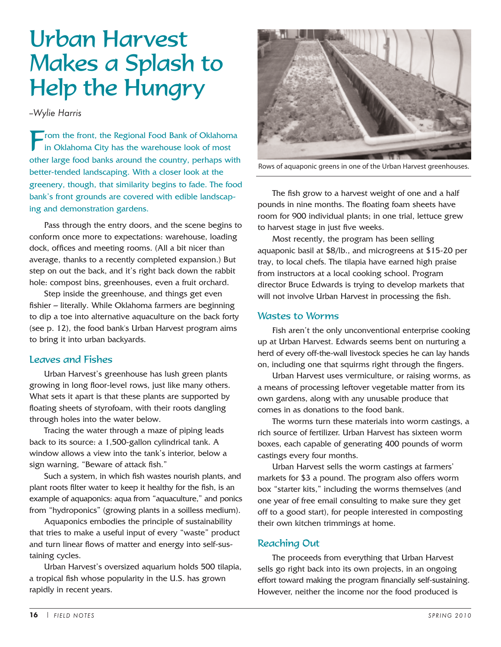# Urban Harvest Makes a Splash to Help the Hungry

*--Wylie Harris*

From the front, the Regional Food Bank of Oklahoma<br>
in Oklahoma City has the warehouse look of most other large food banks around the country, perhaps with better-tended landscaping. With a closer look at the greenery, though, that similarity begins to fade. The food bank's front grounds are covered with edible landscaping and demonstration gardens.

Pass through the entry doors, and the scene begins to conform once more to expectations: warehouse, loading dock, offices and meeting rooms. (All a bit nicer than average, thanks to a recently completed expansion.) But step on out the back, and it's right back down the rabbit hole: compost bins, greenhouses, even a fruit orchard.

Step inside the greenhouse, and things get even fishier – literally. While Oklahoma farmers are beginning to dip a toe into alternative aquaculture on the back forty (see p. 12), the food bank's Urban Harvest program aims to bring it into urban backyards.

#### Leaves and Fishes

Urban Harvest's greenhouse has lush green plants growing in long floor-level rows, just like many others. What sets it apart is that these plants are supported by floating sheets of styrofoam, with their roots dangling through holes into the water below.

Tracing the water through a maze of piping leads back to its source: a 1,500-gallon cylindrical tank. A window allows a view into the tank's interior, below a sign warning, "Beware of attack fish."

Such a system, in which fish wastes nourish plants, and plant roots filter water to keep it healthy for the fish, is an example of aquaponics: aqua from "aquaculture," and ponics from "hydroponics" (growing plants in a soilless medium).

Aquaponics embodies the principle of sustainability that tries to make a useful input of every "waste" product and turn linear flows of matter and energy into self-sustaining cycles.

Urban Harvest's oversized aquarium holds 500 tilapia, a tropical fish whose popularity in the U.S. has grown rapidly in recent years.



Rows of aquaponic greens in one of the Urban Harvest greenhouses.

The fish grow to a harvest weight of one and a half pounds in nine months. The floating foam sheets have room for 900 individual plants; in one trial, lettuce grew to harvest stage in just five weeks.

Most recently, the program has been selling aquaponic basil at \$8/lb., and microgreens at \$15-20 per tray, to local chefs. The tilapia have earned high praise from instructors at a local cooking school. Program director Bruce Edwards is trying to develop markets that will not involve Urban Harvest in processing the fish.

#### Wastes to Worms

Fish aren't the only unconventional enterprise cooking up at Urban Harvest. Edwards seems bent on nurturing a herd of every off-the-wall livestock species he can lay hands on, including one that squirms right through the fingers.

Urban Harvest uses vermiculture, or raising worms, as a means of processing leftover vegetable matter from its own gardens, along with any unusable produce that comes in as donations to the food bank.

The worms turn these materials into worm castings, a rich source of fertilizer. Urban Harvest has sixteen worm boxes, each capable of generating 400 pounds of worm castings every four months.

Urban Harvest sells the worm castings at farmers' markets for \$3 a pound. The program also offers worm box "starter kits," including the worms themselves (and one year of free email consulting to make sure they get off to a good start), for people interested in composting their own kitchen trimmings at home.

#### Reaching Out

The proceeds from everything that Urban Harvest sells go right back into its own projects, in an ongoing effort toward making the program financially self-sustaining. However, neither the income nor the food produced is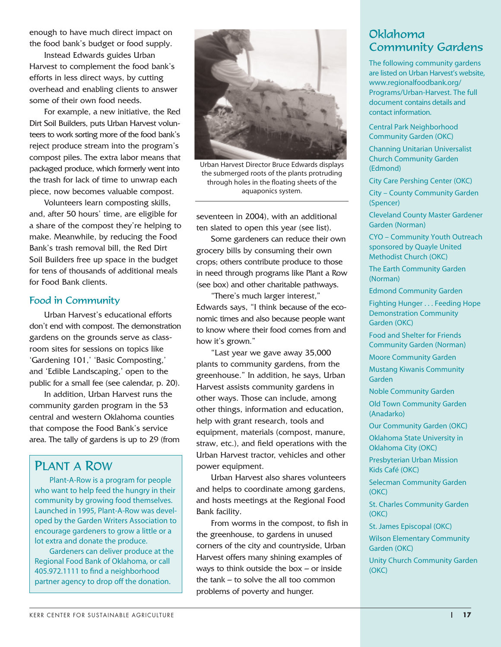enough to have much direct impact on the food bank's budget or food supply.

Instead Edwards guides Urban Harvest to complement the food bank's efforts in less direct ways, by cutting overhead and enabling clients to answer some of their own food needs.

For example, a new initiative, the Red Dirt Soil Builders, puts Urban Harvest volunteers to work sorting more of the food bank's reject produce stream into the program's compost piles. The extra labor means that packaged produce, which formerly went into the trash for lack of time to unwrap each piece, now becomes valuable compost.

Volunteers learn composting skills, and, after 50 hours' time, are eligible for a share of the compost they're helping to make. Meanwhile, by reducing the Food Bank's trash removal bill, the Red Dirt Soil Builders free up space in the budget for tens of thousands of additional meals for Food Bank clients.

#### Food in Community

Urban Harvest's educational efforts don't end with compost. The demonstration gardens on the grounds serve as classroom sites for sessions on topics like 'Gardening 101,' 'Basic Composting,' and 'Edible Landscaping,' open to the public for a small fee (see calendar, p. 20).

In addition, Urban Harvest runs the community garden program in the 53 central and western Oklahoma counties that compose the Food Bank's service area. The tally of gardens is up to 29 (from

## PLANT A ROW

Plant-A-Row is a program for people who want to help feed the hungry in their community by growing food themselves. Launched in 1995, Plant-A-Row was developed by the Garden Writers Association to encourage gardeners to grow a little or a lot extra and donate the produce.

Gardeners can deliver produce at the Regional Food Bank of Oklahoma, or call 405.972.1111 to find a neighborhood partner agency to drop off the donation.



Urban Harvest Director Bruce Edwards displays the submerged roots of the plants protruding through holes in the floating sheets of the aquaponics system.

seventeen in 2004), with an additional ten slated to open this year (see list).

Some gardeners can reduce their own grocery bills by consuming their own crops; others contribute produce to those in need through programs like Plant a Row (see box) and other charitable pathways.

"There's much larger interest," Edwards says, "I think because of the economic times and also because people want to know where their food comes from and how it's grown."

"Last year we gave away 35,000 plants to community gardens, from the greenhouse." In addition, he says, Urban Harvest assists community gardens in other ways. Those can include, among other things, information and education, help with grant research, tools and equipment, materials (compost, manure, straw, etc.), and field operations with the Urban Harvest tractor, vehicles and other power equipment.

Urban Harvest also shares volunteers and helps to coordinate among gardens, and hosts meetings at the Regional Food Bank facility.

From worms in the compost, to fish in the greenhouse, to gardens in unused corners of the city and countryside, Urban Harvest offers many shining examples of ways to think outside the box  $-$  or inside the tank – to solve the all too common problems of poverty and hunger.

## Oklahoma Community Gardens

The following community gardens are listed on Urban Harvest's website, www.regionalfoodbank.org/ Programs/Urban-Harvest. The full document contains details and contact information.

Central Park Neighborhood Community Garden (OKC)

Channing Unitarian Universalist Church Community Garden (Edmond)

City Care Pershing Center (OKC)

City – County Community Garden (Spencer)

Cleveland County Master Gardener Garden (Norman)

CYO – Community Youth Outreach sponsored by Quayle United Methodist Church (OKC)

The Earth Community Garden (Norman)

Edmond Community Garden

Fighting Hunger . . . Feeding Hope Demonstration Community Garden (OKC)

Food and Shelter for Friends Community Garden (Norman)

Moore Community Garden

Mustang Kiwanis Community Garden

Noble Community Garden

Old Town Community Garden (Anadarko)

Our Community Garden (OKC)

Oklahoma State University in Oklahoma City (OKC)

Presbyterian Urban Mission Kids Café (OKC)

Selecman Community Garden (OKC)

St. Charles Community Garden (OKC)

St. James Episcopal (OKC)

Wilson Elementary Community Garden (OKC)

Unity Church Community Garden (OKC)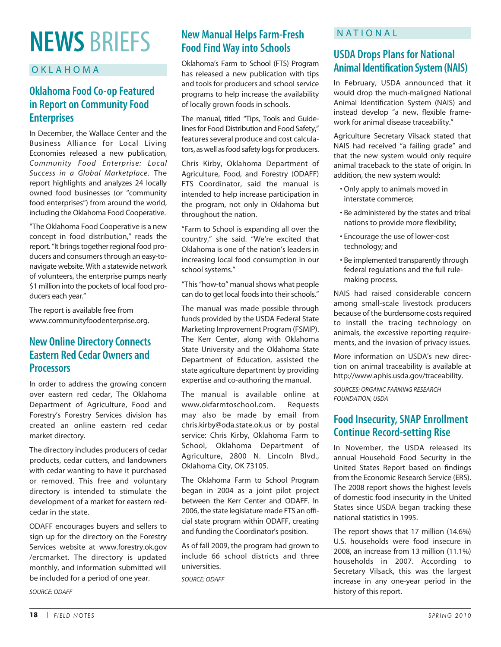# **NEWS** BRIEFS

#### OKLAHOMA

## **Oklahoma Food Co-op Featured in Report on Community Food Enterprises**

In December, the Wallace Center and the Business Alliance for Local Living Economies released a new publication, *Community Food Enterprise: Local Success in a Global Marketplace*. The report highlights and analyzes 24 locally owned food businesses (or "community food enterprises") from around the world, including the Oklahoma Food Cooperative.

"The Oklahoma Food Cooperative is a new concept in food distribution," reads the report. "It brings together regional food producers and consumers through an easy-tonavigate website. With a statewide network of volunteers, the enterprise pumps nearly \$1 million into the pockets of local food producers each year."

The report is available free from www.communityfoodenterprise.org.

## **New Online Directory Connects Eastern Red Cedar Owners and Processors**

In order to address the growing concern over eastern red cedar, The Oklahoma Department of Agriculture, Food and Forestry's Forestry Services division has created an online eastern red cedar market directory.

The directory includes producers of cedar products, cedar cutters, and landowners with cedar wanting to have it purchased or removed. This free and voluntary directory is intended to stimulate the development of a market for eastern redcedar in the state.

ODAFF encourages buyers and sellers to sign up for the directory on the Forestry Services website at www.forestry.ok.gov /ercmarket. The directory is updated monthly, and information submitted will be included for a period of one year.

*SOURCE: ODAFF*

## **New Manual Helps Farm-Fresh Food Find Way into Schools**

Oklahoma's Farm to School (FTS) Program has released a new publication with tips and tools for producers and school service programs to help increase the availability of locally grown foods in schools.

The manual, titled "Tips, Tools and Guidelines for Food Distribution and Food Safety," features several produce and cost calculators, as well as food safety logs for producers.

Chris Kirby, Oklahoma Department of Agriculture, Food, and Forestry (ODAFF) FTS Coordinator, said the manual is intended to help increase participation in the program, not only in Oklahoma but throughout the nation.

"Farm to School is expanding all over the country," she said. "We're excited that Oklahoma is one of the nation's leaders in increasing local food consumption in our school systems."

"This "how-to" manual shows what people can do to get local foods into their schools."

The manual was made possible through funds provided by the USDA Federal State Marketing Improvement Program (FSMIP). The Kerr Center, along with Oklahoma State University and the Oklahoma State Department of Education, assisted the state agriculture department by providing expertise and co-authoring the manual.

The manual is available online at www.okfarmtoschool.com. Requests may also be made by email from chris.kirby@oda.state.ok.us or by postal service: Chris Kirby, Oklahoma Farm to School, Oklahoma Department of Agriculture, 2800 N. Lincoln Blvd., Oklahoma City, OK 73105.

The Oklahoma Farm to School Program began in 2004 as a joint pilot project between the Kerr Center and ODAFF. In 2006, the state legislature made FTS an official state program within ODAFF, creating and funding the Coordinator's position.

As of fall 2009, the program had grown to include 66 school districts and three universities.

*SOURCE: ODAFF*

### NATIONAL

## **USDA Drops Plans for National Animal Identification System (NAIS)**

In February, USDA announced that it would drop the much-maligned National Animal Identification System (NAIS) and instead develop "a new, flexible framework for animal disease traceability."

Agriculture Secretary Vilsack stated that NAIS had received "a failing grade" and that the new system would only require animal traceback to the state of origin. In addition, the new system would:

- Only apply to animals moved in interstate commerce;
- Be administered by the states and tribal nations to provide more flexibility;
- Encourage the use of lower-cost technology; and
- Be implemented transparently through federal regulations and the full rulemaking process.

NAIS had raised considerable concern among small-scale livestock producers because of the burdensome costs required to install the tracing technology on animals, the excessive reporting requirements, and the invasion of privacy issues.

More information on USDA's new direction on animal traceability is available at http://www.aphis.usda.gov/traceability.

*SOURCES: ORGANIC FARMING RESEARCH FOUNDATION, USDA*

## **Food Insecurity, SNAP Enrollment Continue Record-setting Rise**

In November, the USDA released its annual Household Food Security in the United States Report based on findings from the Economic Research Service (ERS). The 2008 report shows the highest levels of domestic food insecurity in the United States since USDA began tracking these national statistics in 1995.

The report shows that 17 million (14.6%) U.S. households were food insecure in 2008, an increase from 13 million (11.1%) households in 2007. According to Secretary Vilsack, this was the largest increase in any one-year period in the history of this report.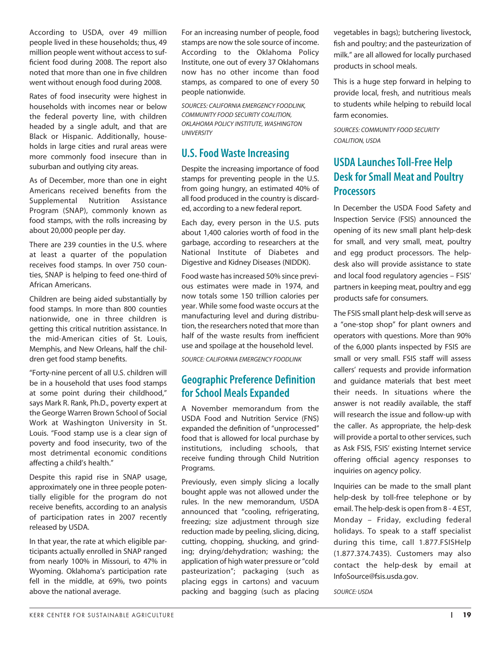According to USDA, over 49 million people lived in these households; thus, 49 million people went without access to sufficient food during 2008. The report also noted that more than one in five children went without enough food during 2008.

Rates of food insecurity were highest in households with incomes near or below the federal poverty line, with children headed by a single adult, and that are Black or Hispanic. Additionally, households in large cities and rural areas were more commonly food insecure than in suburban and outlying city areas.

As of December, more than one in eight Americans received benefits from the Supplemental Nutrition Assistance Program (SNAP), commonly known as food stamps, with the rolls increasing by about 20,000 people per day.

There are 239 counties in the U.S. where at least a quarter of the population receives food stamps. In over 750 counties, SNAP is helping to feed one-third of African Americans.

Children are being aided substantially by food stamps. In more than 800 counties nationwide, one in three children is getting this critical nutrition assistance. In the mid-American cities of St. Louis, Memphis, and New Orleans, half the children get food stamp benefits.

"Forty-nine percent of all U.S. children will be in a household that uses food stamps at some point during their childhood," says Mark R. Rank, Ph.D., poverty expert at the George Warren Brown School of Social Work at Washington University in St. Louis. "Food stamp use is a clear sign of poverty and food insecurity, two of the most detrimental economic conditions affecting a child's health."

Despite this rapid rise in SNAP usage, approximately one in three people potentially eligible for the program do not receive benefits, according to an analysis of participation rates in 2007 recently released by USDA.

In that year, the rate at which eligible participants actually enrolled in SNAP ranged from nearly 100% in Missouri, to 47% in Wyoming. Oklahoma's participation rate fell in the middle, at 69%, two points above the national average.

For an increasing number of people, food stamps are now the sole source of income. According to the Oklahoma Policy Institute, one out of every 37 Oklahomans now has no other income than food stamps, as compared to one of every 50 people nationwide.

*SOURCES: CALIFORNIA EMERGENCY FOODLINK, COMMUNITY FOOD SECURITY COALITION, OKLAHOMA POLICY INSTITUTE, WASHINGTON UNIVERSITY*

## **U.S. Food Waste Increasing**

Despite the increasing importance of food stamps for preventing people in the U.S. from going hungry, an estimated 40% of all food produced in the country is discarded, according to a new federal report.

Each day, every person in the U.S. puts about 1,400 calories worth of food in the garbage, according to researchers at the National Institute of Diabetes and Digestive and Kidney Diseases (NIDDK).

Food waste has increased 50% since previous estimates were made in 1974, and now totals some 150 trillion calories per year. While some food waste occurs at the manufacturing level and during distribution, the researchers noted that more than half of the waste results from inefficient use and spoilage at the household level.

*SOURCE: CALIFORNIA EMERGENCY FOODLINK*

## **Geographic Preference Definition for School Meals Expanded**

A November memorandum from the USDA Food and Nutrition Service (FNS) expanded the definition of "unprocessed" food that is allowed for local purchase by institutions, including schools, that receive funding through Child Nutrition Programs.

Previously, even simply slicing a locally bought apple was not allowed under the rules. In the new memorandum, USDA announced that "cooling, refrigerating, freezing; size adjustment through size reduction made by peeling, slicing, dicing, cutting, chopping, shucking, and grinding; drying/dehydration; washing; the application of high water pressure or "cold pasteurization"; packaging (such as placing eggs in cartons) and vacuum packing and bagging (such as placing vegetables in bags); butchering livestock, fish and poultry; and the pasteurization of milk." are all allowed for locally purchased products in school meals.

This is a huge step forward in helping to provide local, fresh, and nutritious meals to students while helping to rebuild local farm economies.

*SOURCES: COMMUNITY FOOD SECURITY COALITION, USDA*

## **USDA Launches Toll-Free Help Desk for Small Meat and Poultry Processors**

In December the USDA Food Safety and Inspection Service (FSIS) announced the opening of its new small plant help-desk for small, and very small, meat, poultry and egg product processors. The helpdesk also will provide assistance to state and local food regulatory agencies – FSIS' partners in keeping meat, poultry and egg products safe for consumers.

The FSIS small plant help-desk will serve as a "one-stop shop" for plant owners and operators with questions. More than 90% of the 6,000 plants inspected by FSIS are small or very small. FSIS staff will assess callers' requests and provide information and guidance materials that best meet their needs. In situations where the answer is not readily available, the staff will research the issue and follow-up with the caller. As appropriate, the help-desk will provide a portal to other services, such as Ask FSIS, FSIS' existing Internet service offering official agency responses to inquiries on agency policy.

Inquiries can be made to the small plant help-desk by toll-free telephone or by email. The help-desk is open from 8 - 4 EST, Monday – Friday, excluding federal holidays. To speak to a staff specialist during this time, call 1.877.FSISHelp (1.877.374.7435). Customers may also contact the help-desk by email at InfoSource@fsis.usda.gov.

*SOURCE: USDA*